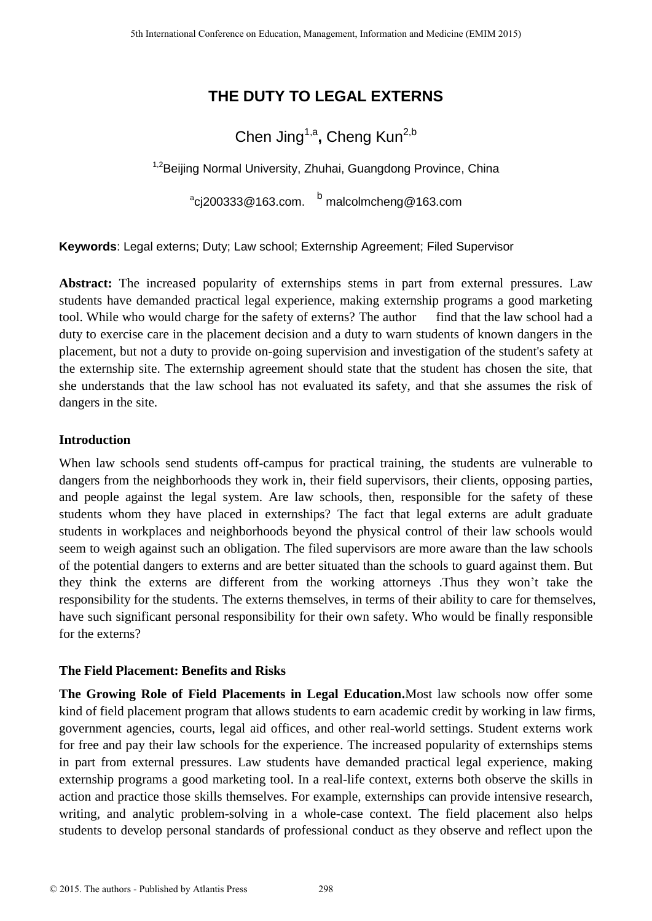# **THE DUTY TO LEGAL EXTERNS**

# Chen Jing<sup>1,a</sup>, Cheng Kun<sup>2,b</sup>

<sup>1,2</sup>Beijing Normal University, Zhuhai, Guangdong Province, China

 $\mathrm{^a}$ cj200333@163.com.  $\mathrm{^b}$  malcolmcheng@163.com

**Keywords**: Legal externs; Duty; Law school; Externship Agreement; Filed Supervisor

Abstract: The increased popularity of externships stems in part from external pressures. Law students have demanded practical legal experience, making externship programs a good marketing tool. While who would charge for the safety of externs? The author find that the law school had a duty to exercise care in the placement decision and a duty to warn students of known dangers in the placement, but not a duty to provide on-going supervision and investigation of the student's safety at the externship site. The externship agreement should state that the student has chosen the site, that she understands that the law school has not evaluated its safety, and that she assumes the risk of dangers in the site.

## **Introduction**

When law schools send students off-campus for practical training, the students are vulnerable to dangers from the neighborhoods they work in, their field supervisors, their clients, opposing parties, and people against the legal system. Are law schools, then, responsible for the safety of these students whom they have placed in externships? The fact that legal externs are adult graduate students in workplaces and neighborhoods beyond the physical control of their law schools would seem to weigh against such an obligation. The filed supervisors are more aware than the law schools of the potential dangers to externs and are better situated than the schools to guard against them. But they think the externs are different from the working attorneys .Thus they won't take the responsibility for the students. The externs themselves, in terms of their ability to care for themselves, have such significant personal responsibility for their own safety. Who would be finally responsible for the externs?

# **The Field Placement: Benefits and Risks**

**The Growing Role of Field Placements in Legal Education.**Most law schools now offer some kind of field placement program that allows students to earn academic credit by working in law firms, government agencies, courts, legal aid offices, and other real-world settings. Student externs work for free and pay their law schools for the experience. The increased popularity of externships stems in part from external pressures. Law students have demanded practical legal experience, making externship programs a good marketing tool. In a real-life context, externs both observe the skills in action and practice those skills themselves. For example, externships can provide intensive research, writing, and analytic problem-solving in a whole-case context. The field placement also helps students to develop personal standards of professional conduct as they observe and reflect upon the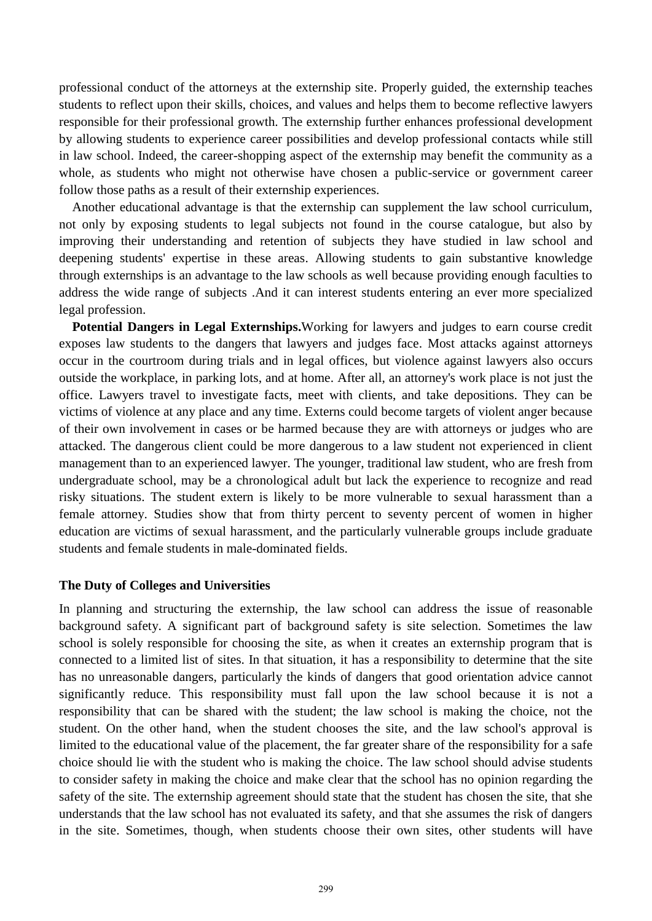professional conduct of the attorneys at the externship site. Properly guided, the externship teaches students to reflect upon their skills, choices, and values and helps them to become reflective lawyers responsible for their professional growth. The externship further enhances professional development by allowing students to experience career possibilities and develop professional contacts while still in law school. Indeed, the career-shopping aspect of the externship may benefit the community as a whole, as students who might not otherwise have chosen a public-service or government career follow those paths as a result of their externship experiences.

Another educational advantage is that the externship can supplement the law school curriculum, not only by exposing students to legal subjects not found in the course catalogue, but also by improving their understanding and retention of subjects they have studied in law school and deepening students' expertise in these areas. Allowing students to gain substantive knowledge through externships is an advantage to the law schools as well because providing enough faculties to address the wide range of subjects .And it can interest students entering an ever more specialized legal profession.

**Potential Dangers in Legal Externships.**Working for lawyers and judges to earn course credit exposes law students to the dangers that lawyers and judges face. Most attacks against attorneys occur in the courtroom during trials and in legal offices, but violence against lawyers also occurs outside the workplace, in parking lots, and at home. After all, an attorney's work place is not just the office. Lawyers travel to investigate facts, meet with clients, and take depositions. They can be victims of violence at any place and any time. Externs could become targets of violent anger because of their own involvement in cases or be harmed because they are with attorneys or judges who are attacked. The dangerous client could be more dangerous to a law student not experienced in client management than to an experienced lawyer. The younger, traditional law student, who are fresh from undergraduate school, may be a chronological adult but lack the experience to recognize and read risky situations. The student extern is likely to be more vulnerable to sexual harassment than a female attorney. Studies show that from thirty percent to seventy percent of women in higher education are victims of sexual harassment, and the particularly vulnerable groups include graduate students and female students in male-dominated fields.

#### **The Duty of Colleges and Universities**

In planning and structuring the externship, the law school can address the issue of reasonable background safety. A significant part of background safety is site selection. Sometimes the law school is solely responsible for choosing the site, as when it creates an externship program that is connected to a limited list of sites. In that situation, it has a responsibility to determine that the site has no unreasonable dangers, particularly the kinds of dangers that good orientation advice cannot significantly reduce. This responsibility must fall upon the law school because it is not a responsibility that can be shared with the student; the law school is making the choice, not the student. On the other hand, when the student chooses the site, and the law school's approval is limited to the educational value of the placement, the far greater share of the responsibility for a safe choice should lie with the student who is making the choice. The law school should advise students to consider safety in making the choice and make clear that the school has no opinion regarding the safety of the site. The externship agreement should state that the student has chosen the site, that she understands that the law school has not evaluated its safety, and that she assumes the risk of dangers in the site. Sometimes, though, when students choose their own sites, other students will have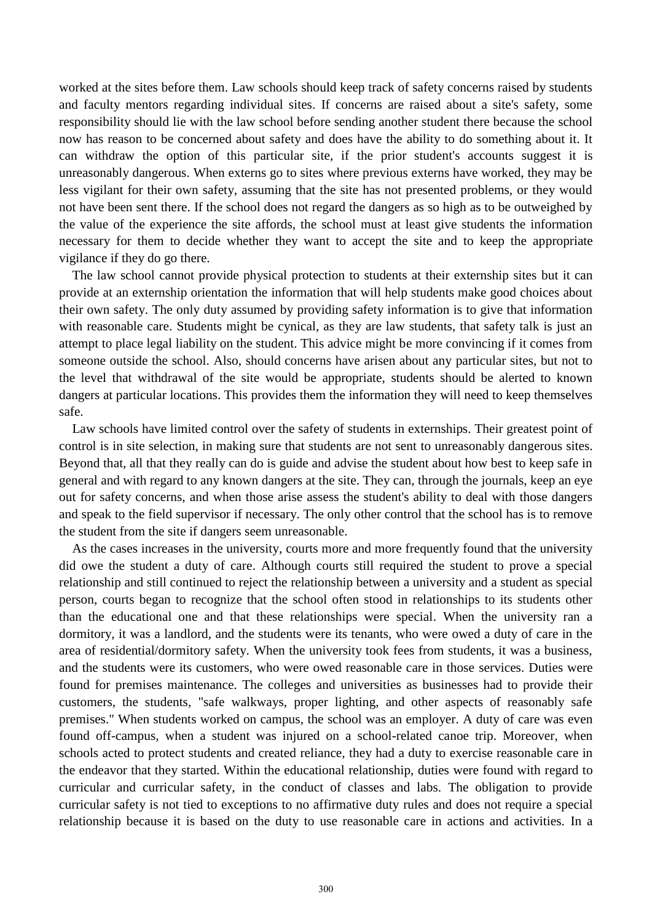worked at the sites before them. Law schools should keep track of safety concerns raised by students and faculty mentors regarding individual sites. If concerns are raised about a site's safety, some responsibility should lie with the law school before sending another student there because the school now has reason to be concerned about safety and does have the ability to do something about it. It can withdraw the option of this particular site, if the prior student's accounts suggest it is unreasonably dangerous. When externs go to sites where previous externs have worked, they may be less vigilant for their own safety, assuming that the site has not presented problems, or they would not have been sent there. If the school does not regard the dangers as so high as to be outweighed by the value of the experience the site affords, the school must at least give students the information necessary for them to decide whether they want to accept the site and to keep the appropriate vigilance if they do go there.

The law school cannot provide physical protection to students at their externship sites but it can provide at an externship orientation the information that will help students make good choices about their own safety. The only duty assumed by providing safety information is to give that information with reasonable care. Students might be cynical, as they are law students, that safety talk is just an attempt to place legal liability on the student. This advice might be more convincing if it comes from someone outside the school. Also, should concerns have arisen about any particular sites, but not to the level that withdrawal of the site would be appropriate, students should be alerted to known dangers at particular locations. This provides them the information they will need to keep themselves safe.

Law schools have limited control over the safety of students in externships. Their greatest point of control is in site selection, in making sure that students are not sent to unreasonably dangerous sites. Beyond that, all that they really can do is guide and advise the student about how best to keep safe in general and with regard to any known dangers at the site. They can, through the journals, keep an eye out for safety concerns, and when those arise assess the student's ability to deal with those dangers and speak to the field supervisor if necessary. The only other control that the school has is to remove the student from the site if dangers seem unreasonable.

As the cases increases in the university, courts more and more frequently found that the university did owe the student a duty of care. Although courts still required the student to prove a special relationship and still continued to reject the relationship between a university and a student as special person, courts began to recognize that the school often stood in relationships to its students other than the educational one and that these relationships were special. When the university ran a dormitory, it was a landlord, and the students were its tenants, who were owed a duty of care in the area of residential/dormitory safety. When the university took fees from students, it was a business, and the students were its customers, who were owed reasonable care in those services. Duties were found for premises maintenance. The colleges and universities as businesses had to provide their customers, the students, "safe walkways, proper lighting, and other aspects of reasonably safe premises." When students worked on campus, the school was an employer. A duty of care was even found off-campus, when a student was injured on a school-related canoe trip. Moreover, when schools acted to protect students and created reliance, they had a duty to exercise reasonable care in the endeavor that they started. Within the educational relationship, duties were found with regard to curricular and curricular safety, in the conduct of classes and labs. The obligation to provide curricular safety is not tied to exceptions to no affirmative duty rules and does not require a special relationship because it is based on the duty to use reasonable care in actions and activities. In a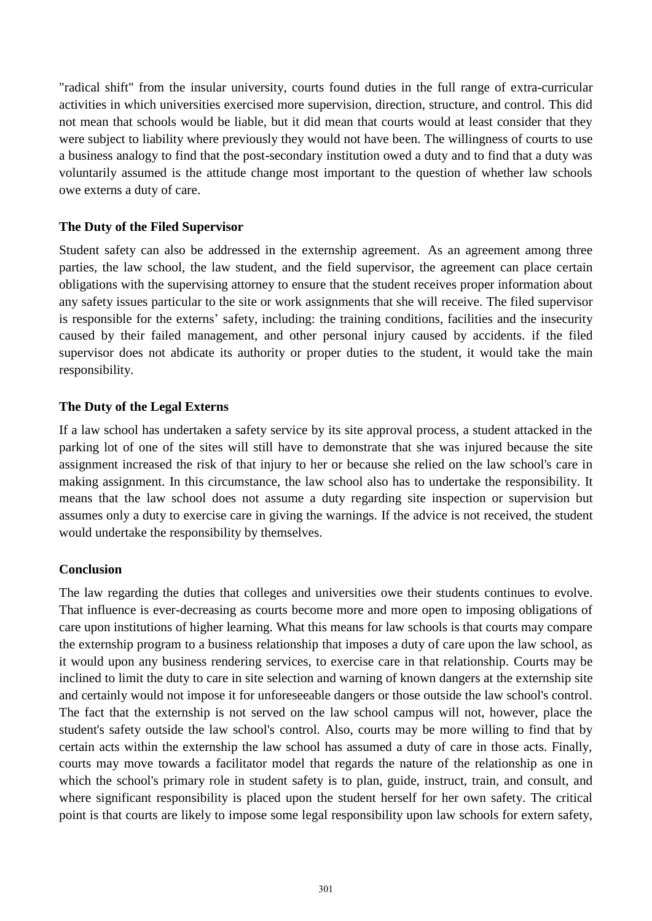"radical shift" from the insular university, courts found duties in the full range of extra-curricular activities in which universities exercised more supervision, direction, structure, and control. This did not mean that schools would be liable, but it did mean that courts would at least consider that they were subject to liability where previously they would not have been. The willingness of courts to use a business analogy to find that the post-secondary institution owed a duty and to find that a duty was voluntarily assumed is the attitude change most important to the question of whether law schools owe externs a duty of care.

#### **The Duty of the Filed Supervisor**

Student safety can also be addressed in the externship agreement. As an agreement among three parties, the law school, the law student, and the field supervisor, the agreement can place certain obligations with the supervising attorney to ensure that the student receives proper information about any safety issues particular to the site or work assignments that she will receive. The filed supervisor is responsible for the externs' safety, including: the training conditions, facilities and the insecurity caused by their failed management, and other personal injury caused by accidents. if the filed supervisor does not abdicate its authority or proper duties to the student, it would take the main responsibility.

## **The Duty of the Legal Externs**

If a law school has undertaken a safety service by its site approval process, a student attacked in the parking lot of one of the sites will still have to demonstrate that she was injured because the site assignment increased the risk of that injury to her or because she relied on the law school's care in making assignment. In this circumstance, the law school also has to undertake the responsibility. It means that the law school does not assume a duty regarding site inspection or supervision but assumes only a duty to exercise care in giving the warnings. If the advice is not received, the student would undertake the responsibility by themselves.

## **Conclusion**

The law regarding the duties that colleges and universities owe their students continues to evolve. That influence is ever-decreasing as courts become more and more open to imposing obligations of care upon institutions of higher learning. What this means for law schools is that courts may compare the externship program to a business relationship that imposes a duty of care upon the law school, as it would upon any business rendering services, to exercise care in that relationship. Courts may be inclined to limit the duty to care in site selection and warning of known dangers at the externship site and certainly would not impose it for unforeseeable dangers or those outside the law school's control. The fact that the externship is not served on the law school campus will not, however, place the student's safety outside the law school's control. Also, courts may be more willing to find that by certain acts within the externship the law school has assumed a duty of care in those acts. Finally, courts may move towards a facilitator model that regards the nature of the relationship as one in which the school's primary role in student safety is to plan, guide, instruct, train, and consult, and where significant responsibility is placed upon the student herself for her own safety. The critical point is that courts are likely to impose some legal responsibility upon law schools for extern safety,